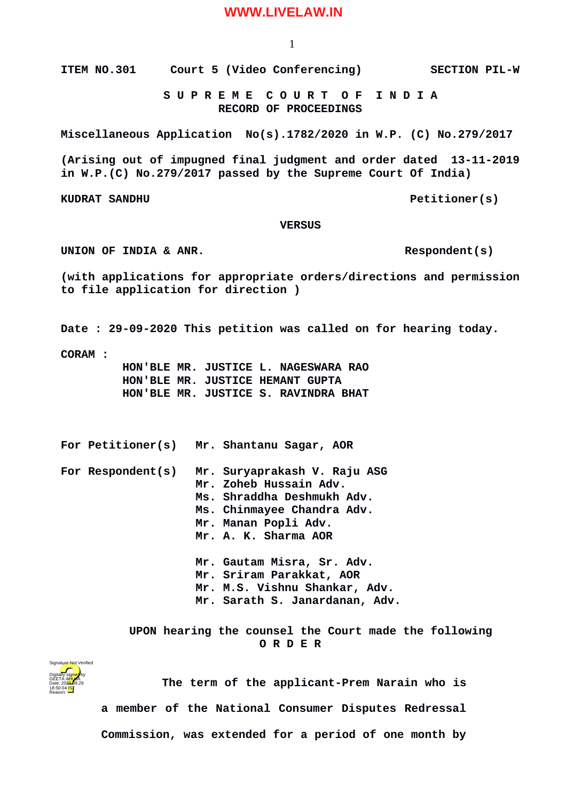## **WWW.LIVELAW.IN**

1

**ITEM NO.301 Court 5 (Video Conferencing) SECTION PIL-W**

 **S U P R E M E C O U R T O F I N D I A RECORD OF PROCEEDINGS**

**Miscellaneous Application No(s).1782/2020 in W.P. (C) No.279/2017**

**(Arising out of impugned final judgment and order dated 13-11-2019 in W.P.(C) No.279/2017 passed by the Supreme Court Of India)**

**KUDRAT SANDHU Petitioner(s)**

 **VERSUS**

UNION OF INDIA & ANR.

**(with applications for appropriate orders/directions and permission to file application for direction )**

**Date : 29-09-2020 This petition was called on for hearing today.**

**CORAM :** 

 **HON'BLE MR. JUSTICE L. NAGESWARA RAO HON'BLE MR. JUSTICE HEMANT GUPTA HON'BLE MR. JUSTICE S. RAVINDRA BHAT**

**For Petitioner(s) Mr. Shantanu Sagar, AOR**

**For Respondent(s) Mr. Suryaprakash V. Raju ASG Mr. Zoheb Hussain Adv. Ms. Shraddha Deshmukh Adv. Ms. Chinmayee Chandra Adv. Mr. Manan Popli Adv. Mr. A. K. Sharma AOR Mr. Gautam Misra, Sr. Adv. Mr. Sriram Parakkat, AOR Mr. M.S. Vishnu Shankar, Adv. Mr. Sarath S. Janardanan, Adv.**

> **UPON hearing the counsel the Court made the following O R D E R**



**The term of the applicant-Prem Narain who is a member of the National Consumer Disputes Redressal Commission, was extended for a period of one month by**